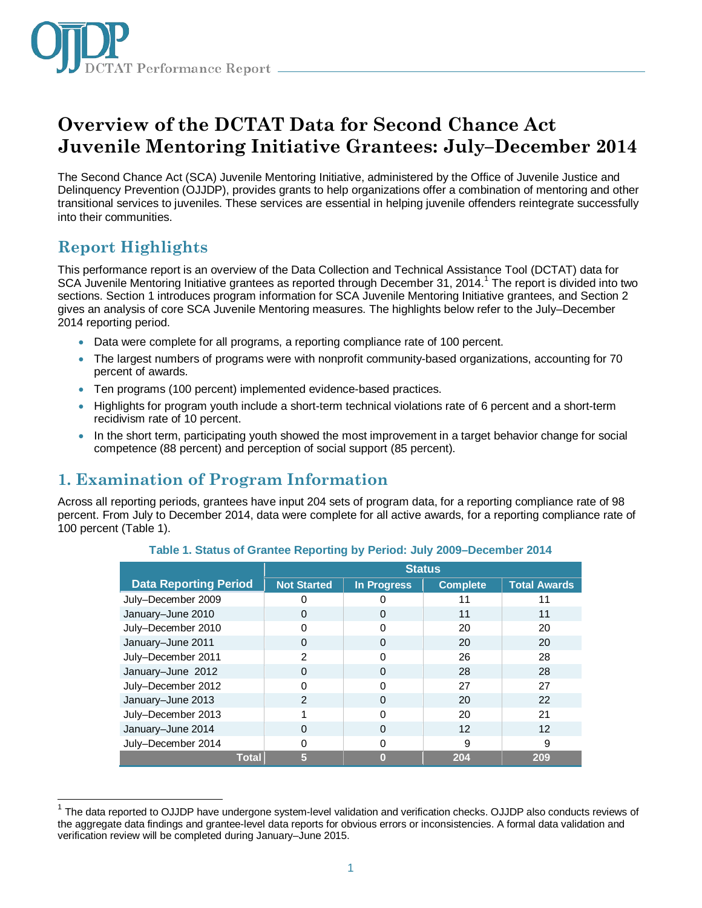

# **Overview of the DCTAT Data for Second Chance Act Juvenile Mentoring Initiative Grantees: July–December 2014**

The Second Chance Act (SCA) Juvenile Mentoring Initiative, administered by the Office of Juvenile Justice and Delinquency Prevention (OJJDP), provides grants to help organizations offer a combination of mentoring and other transitional services to juveniles. These services are essential in helping juvenile offenders reintegrate successfully into their communities.

# **Report Highlights**

This performance report is an overview of the Data Collection and Technical Assistance Tool (DCTAT) data for SCA Juvenile Mentoring Initiative grantees as reported through December 3[1](#page-0-0), 2014.<sup>1</sup> The report is divided into two sections. Section 1 introduces program information for SCA Juvenile Mentoring Initiative grantees, and Section 2 gives an analysis of core SCA Juvenile Mentoring measures. The highlights below refer to the July–December 2014 reporting period.

- Data were complete for all programs, a reporting compliance rate of 100 percent.
- The largest numbers of programs were with nonprofit community-based organizations, accounting for 70 percent of awards.
- Ten programs (100 percent) implemented evidence-based practices.
- Highlights for program youth include a short-term technical violations rate of 6 percent and a short-term recidivism rate of 10 percent.
- In the short term, participating youth showed the most improvement in a target behavior change for social competence (88 percent) and perception of social support (85 percent).

# **1. Examination of Program Information**

Across all reporting periods, grantees have input 204 sets of program data, for a reporting compliance rate of 98 percent. From July to December 2014, data were complete for all active awards, for a reporting compliance rate of 100 percent (Table 1).

|                              | <b>Status</b>      |                    |                 |                     |
|------------------------------|--------------------|--------------------|-----------------|---------------------|
| <b>Data Reporting Period</b> | <b>Not Started</b> | <b>In Progress</b> | <b>Complete</b> | <b>Total Awards</b> |
| July-December 2009           |                    |                    | 11              | 11                  |
| January-June 2010            | 0                  | 0                  | 11              | 11                  |
| July-December 2010           | U                  | 0                  | 20              | 20                  |
| January-June 2011            | 0                  | 0                  | 20              | 20                  |
| July-December 2011           | 2                  | U                  | 26              | 28                  |
| January-June 2012            | O                  | $\Omega$           | 28              | 28                  |
| July-December 2012           | O                  | O                  | 27              | 27                  |
| January-June 2013            | $\mathcal{P}$      | 0                  | 20              | 22                  |
| July-December 2013           |                    | 0                  | 20              | 21                  |
| January-June 2014            | O                  | 0                  | 12              | 12                  |
| July-December 2014           |                    | O                  | 9               | 9                   |
| <b>Total</b>                 | 5                  | O                  | 204             | 209                 |

**Table 1. Status of Grantee Reporting by Period: July 2009–December 2014**

<span id="page-0-0"></span> $\overline{a}$ <sup>1</sup> The data reported to OJJDP have undergone system-level validation and verification checks. OJJDP also conducts reviews of the aggregate data findings and grantee-level data reports for obvious errors or inconsistencies. A formal data validation and verification review will be completed during January–June 2015.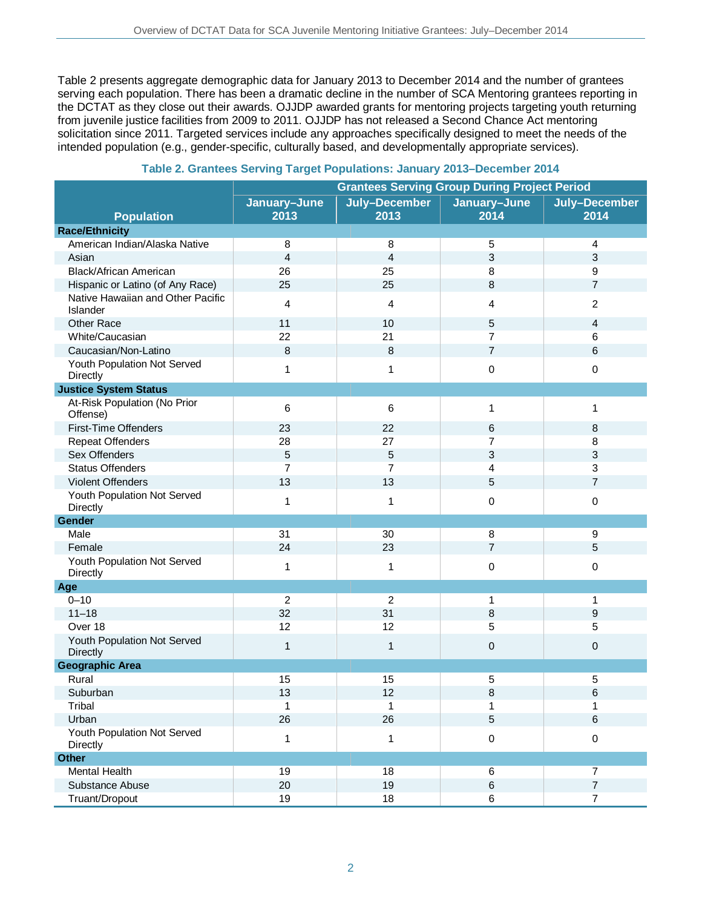Table 2 presents aggregate demographic data for January 2013 to December 2014 and the number of grantees serving each population. There has been a dramatic decline in the number of SCA Mentoring grantees reporting in the DCTAT as they close out their awards. OJJDP awarded grants for mentoring projects targeting youth returning from juvenile justice facilities from 2009 to 2011. OJJDP has not released a Second Chance Act mentoring solicitation since 2011. Targeted services include any approaches specifically designed to meet the needs of the intended population (e.g., gender-specific, culturally based, and developmentally appropriate services).

|                                               | <b>Grantees Serving Group During Project Period</b> |                       |                      |                       |  |
|-----------------------------------------------|-----------------------------------------------------|-----------------------|----------------------|-----------------------|--|
| <b>Population</b>                             | January-June<br>2013                                | July-December<br>2013 | January-June<br>2014 | July-December<br>2014 |  |
| <b>Race/Ethnicity</b>                         |                                                     |                       |                      |                       |  |
| American Indian/Alaska Native                 | 8                                                   | 8                     | 5                    | 4                     |  |
| Asian                                         | $\overline{4}$                                      | $\overline{4}$        | 3                    | 3                     |  |
| Black/African American                        | 26                                                  | 25                    | 8                    | 9                     |  |
| Hispanic or Latino (of Any Race)              | 25                                                  | 25                    | 8                    | $\overline{7}$        |  |
| Native Hawaiian and Other Pacific<br>Islander | 4                                                   | 4                     | 4                    | 2                     |  |
| Other Race                                    | 11                                                  | 10                    | 5                    | 4                     |  |
| White/Caucasian                               | 22                                                  | 21                    | 7                    | 6                     |  |
| Caucasian/Non-Latino                          | 8                                                   | 8                     | $\overline{7}$       | 6                     |  |
| Youth Population Not Served<br>Directly       | 1                                                   | $\mathbf 1$           | 0                    | 0                     |  |
| <b>Justice System Status</b>                  |                                                     |                       |                      |                       |  |
| At-Risk Population (No Prior<br>Offense)      | 6                                                   | 6                     | 1                    | 1                     |  |
| First-Time Offenders                          | 23                                                  | 22                    | 6                    | 8                     |  |
| <b>Repeat Offenders</b>                       | 28                                                  | 27                    | 7                    | 8                     |  |
| Sex Offenders                                 | 5                                                   | 5                     | 3                    | 3                     |  |
| <b>Status Offenders</b>                       | $\overline{7}$                                      | 7                     | 4                    | 3                     |  |
| Violent Offenders                             | 13                                                  | 13                    | 5                    | 7                     |  |
| Youth Population Not Served<br>Directly       | 1                                                   | $\mathbf{1}$          | 0                    | 0                     |  |
| Gender                                        |                                                     |                       |                      |                       |  |
| Male                                          | 31                                                  | 30                    | 8                    | 9                     |  |
| Female                                        | 24                                                  | 23                    | $\overline{7}$       | 5                     |  |
| Youth Population Not Served<br>Directly       | 1                                                   | 1                     | 0                    | 0                     |  |
| Age                                           |                                                     |                       |                      |                       |  |
| $0 - 10$                                      | $\overline{c}$                                      | $\overline{2}$        | 1                    | 1                     |  |
| $11 - 18$                                     | 32                                                  | 31                    | 8                    | 9                     |  |
| Over 18                                       | 12                                                  | 12                    | 5                    | 5                     |  |
| Youth Population Not Served<br>Directly       | $\mathbf{1}$                                        | $\mathbf{1}$          | 0                    | 0                     |  |
| <b>Geographic Area</b>                        |                                                     |                       |                      |                       |  |
| Rural                                         | 15                                                  | 15                    | 5                    | 5                     |  |
| Suburban                                      | 13                                                  | 12                    | 8                    | 6                     |  |
| Tribal                                        | 1                                                   | 1                     | 1                    | 1                     |  |
| Urban                                         | 26                                                  | 26                    | 5                    | $\,6$                 |  |
| Youth Population Not Served<br>Directly       | $\mathbf 1$                                         | 1                     | 0                    | $\mathsf 0$           |  |
| <b>Other</b>                                  |                                                     |                       |                      |                       |  |
| <b>Mental Health</b>                          | 19                                                  | 18                    | 6                    | $\overline{7}$        |  |
| Substance Abuse                               | 20                                                  | 19                    | 6                    | $\overline{7}$        |  |
| Truant/Dropout                                | 19                                                  | 18                    | 6                    | $\boldsymbol{7}$      |  |

### **Table 2. Grantees Serving Target Populations: January 2013–December 2014**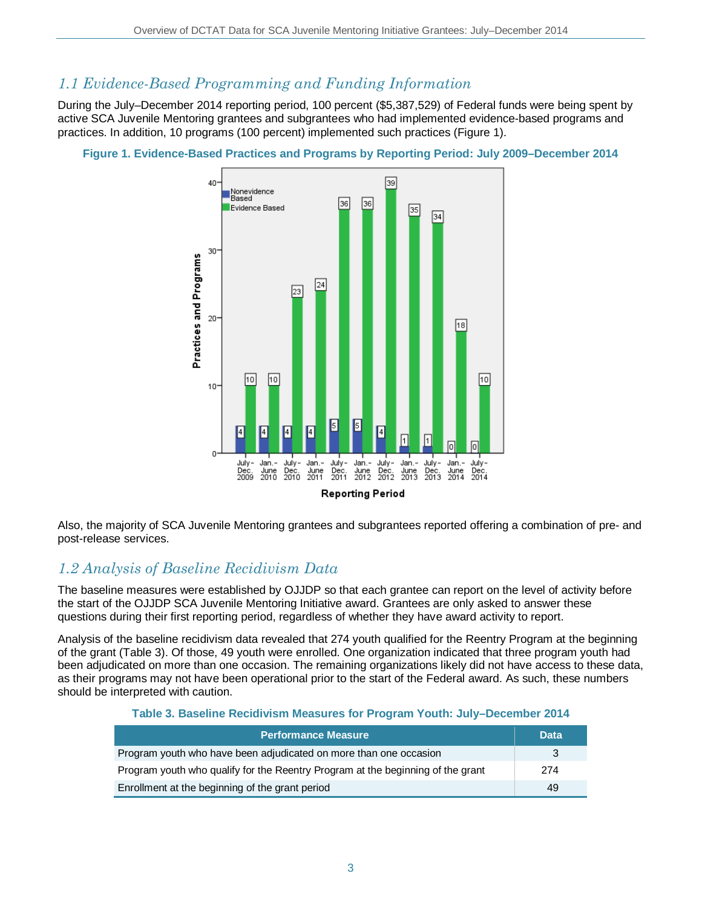### *1.1 Evidence-Based Programming and Funding Information*

During the July–December 2014 reporting period, 100 percent (\$5,387,529) of Federal funds were being spent by active SCA Juvenile Mentoring grantees and subgrantees who had implemented evidence-based programs and practices. In addition, 10 programs (100 percent) implemented such practices (Figure 1).



**Figure 1. Evidence-Based Practices and Programs by Reporting Period: July 2009–December 2014**

Also, the majority of SCA Juvenile Mentoring grantees and subgrantees reported offering a combination of pre- and post-release services.

# *1.2 Analysis of Baseline Recidivism Data*

The baseline measures were established by OJJDP so that each grantee can report on the level of activity before the start of the OJJDP SCA Juvenile Mentoring Initiative award. Grantees are only asked to answer these questions during their first reporting period, regardless of whether they have award activity to report.

Analysis of the baseline recidivism data revealed that 274 youth qualified for the Reentry Program at the beginning of the grant (Table 3). Of those, 49 youth were enrolled. One organization indicated that three program youth had been adjudicated on more than one occasion. The remaining organizations likely did not have access to these data, as their programs may not have been operational prior to the start of the Federal award. As such, these numbers should be interpreted with caution.

#### **Table 3. Baseline Recidivism Measures for Program Youth: July–December 2014**

| <b>Performance Measure</b>                                                      | <b>Data</b> |  |
|---------------------------------------------------------------------------------|-------------|--|
| Program youth who have been adjudicated on more than one occasion               | -3          |  |
| Program youth who qualify for the Reentry Program at the beginning of the grant |             |  |
| Enrollment at the beginning of the grant period                                 | 49          |  |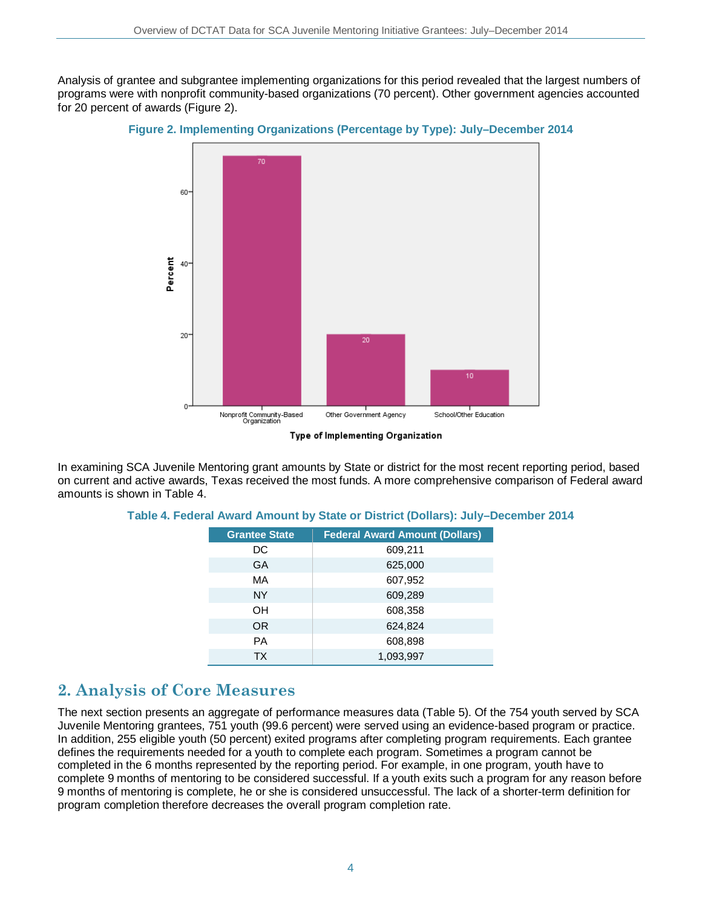Analysis of grantee and subgrantee implementing organizations for this period revealed that the largest numbers of programs were with nonprofit community-based organizations (70 percent). Other government agencies accounted for 20 percent of awards (Figure 2).



**Figure 2. Implementing Organizations (Percentage by Type): July–December 2014**



In examining SCA Juvenile Mentoring grant amounts by State or district for the most recent reporting period, based on current and active awards, Texas received the most funds. A more comprehensive comparison of Federal award amounts is shown in Table 4.

| <b>Grantee State</b> | <b>Federal Award Amount (Dollars)</b> |
|----------------------|---------------------------------------|
| DC                   | 609,211                               |
| GA                   | 625,000                               |
| MA                   | 607,952                               |
| <b>NY</b>            | 609,289                               |
| OH                   | 608,358                               |
| <b>OR</b>            | 624,824                               |
| <b>PA</b>            | 608,898                               |
| <b>TX</b>            | 1,093,997                             |

#### **Table 4. Federal Award Amount by State or District (Dollars): July–December 2014**

### **2. Analysis of Core Measures**

The next section presents an aggregate of performance measures data (Table 5). Of the 754 youth served by SCA Juvenile Mentoring grantees, 751 youth (99.6 percent) were served using an evidence-based program or practice. In addition, 255 eligible youth (50 percent) exited programs after completing program requirements. Each grantee defines the requirements needed for a youth to complete each program. Sometimes a program cannot be completed in the 6 months represented by the reporting period. For example, in one program, youth have to complete 9 months of mentoring to be considered successful. If a youth exits such a program for any reason before 9 months of mentoring is complete, he or she is considered unsuccessful. The lack of a shorter-term definition for program completion therefore decreases the overall program completion rate.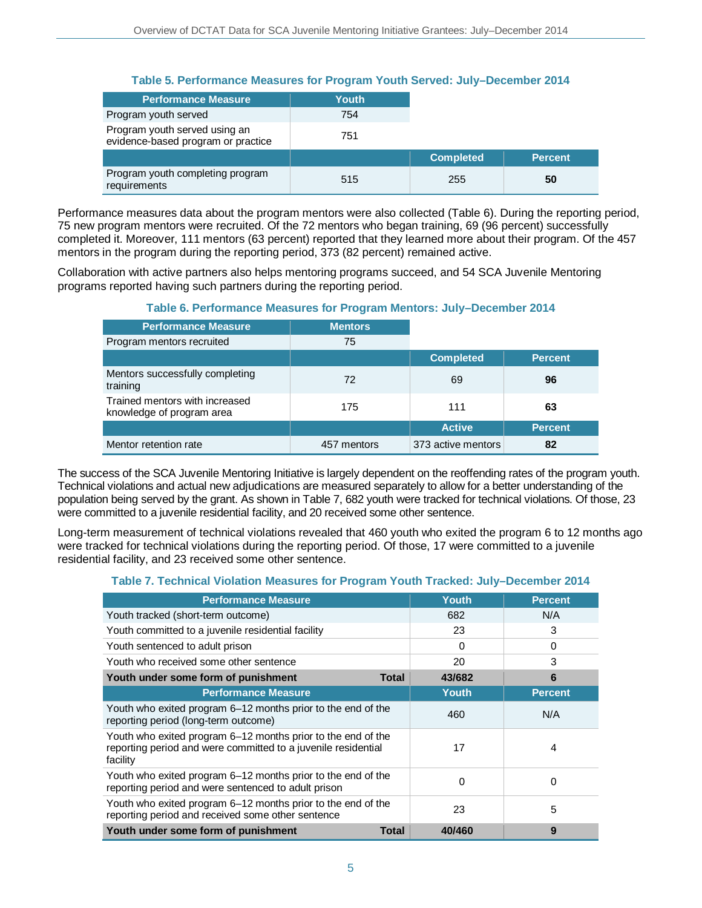#### **Table 5. Performance Measures for Program Youth Served: July–December 2014**

| <b>Performance Measure</b>                                          | <b>Youth</b> |                  |                |
|---------------------------------------------------------------------|--------------|------------------|----------------|
| Program youth served                                                | 754          |                  |                |
| Program youth served using an<br>evidence-based program or practice | 751          |                  |                |
|                                                                     |              | <b>Completed</b> | <b>Percent</b> |
| Program youth completing program<br>requirements                    | 515          | 255              | 50             |

Performance measures data about the program mentors were also collected (Table 6). During the reporting period, 75 new program mentors were recruited. Of the 72 mentors who began training, 69 (96 percent) successfully completed it. Moreover, 111 mentors (63 percent) reported that they learned more about their program. Of the 457 mentors in the program during the reporting period, 373 (82 percent) remained active.

Collaboration with active partners also helps mentoring programs succeed, and 54 SCA Juvenile Mentoring programs reported having such partners during the reporting period.

### **Table 6. Performance Measures for Program Mentors: July–December 2014**

| <b>Performance Measure</b>                                  | <b>Mentors</b> |                    |                |
|-------------------------------------------------------------|----------------|--------------------|----------------|
| Program mentors recruited                                   | 75             |                    |                |
|                                                             |                | <b>Completed</b>   | <b>Percent</b> |
| Mentors successfully completing<br>training                 | 72             | 69                 | 96             |
| Trained mentors with increased<br>knowledge of program area | 175            | 111                | 63             |
|                                                             |                | <b>Active</b>      | <b>Percent</b> |
| Mentor retention rate                                       | 457 mentors    | 373 active mentors | 82             |

The success of the SCA Juvenile Mentoring Initiative is largely dependent on the reoffending rates of the program youth. Technical violations and actual new adjudications are measured separately to allow for a better understanding of the population being served by the grant. As shown in Table 7, 682 youth were tracked for technical violations. Of those, 23 were committed to a juvenile residential facility, and 20 received some other sentence.

Long-term measurement of technical violations revealed that 460 youth who exited the program 6 to 12 months ago were tracked for technical violations during the reporting period. Of those, 17 were committed to a juvenile residential facility, and 23 received some other sentence.

### **Table 7. Technical Violation Measures for Program Youth Tracked: July–December 2014**

| <b>Performance Measure</b>                                                                                                                | <b>Youth</b> | <b>Percent</b> |
|-------------------------------------------------------------------------------------------------------------------------------------------|--------------|----------------|
| Youth tracked (short-term outcome)                                                                                                        | 682          | N/A            |
| Youth committed to a juvenile residential facility                                                                                        | 23           | 3              |
| Youth sentenced to adult prison                                                                                                           | 0            | 0              |
| Youth who received some other sentence                                                                                                    | 20           | 3              |
| Youth under some form of punishment<br>Total                                                                                              | 43/682       | 6              |
| <b>Performance Measure</b>                                                                                                                | <b>Youth</b> | <b>Percent</b> |
| Youth who exited program 6-12 months prior to the end of the<br>reporting period (long-term outcome)                                      | 460          | N/A            |
| Youth who exited program 6-12 months prior to the end of the<br>reporting period and were committed to a juvenile residential<br>facility | 17           | 4              |
| Youth who exited program 6-12 months prior to the end of the<br>reporting period and were sentenced to adult prison                       | $\Omega$     | 0              |
| Youth who exited program 6–12 months prior to the end of the<br>reporting period and received some other sentence                         | 23           | 5              |
| Youth under some form of punishment<br>Total                                                                                              | 40/460       | 9              |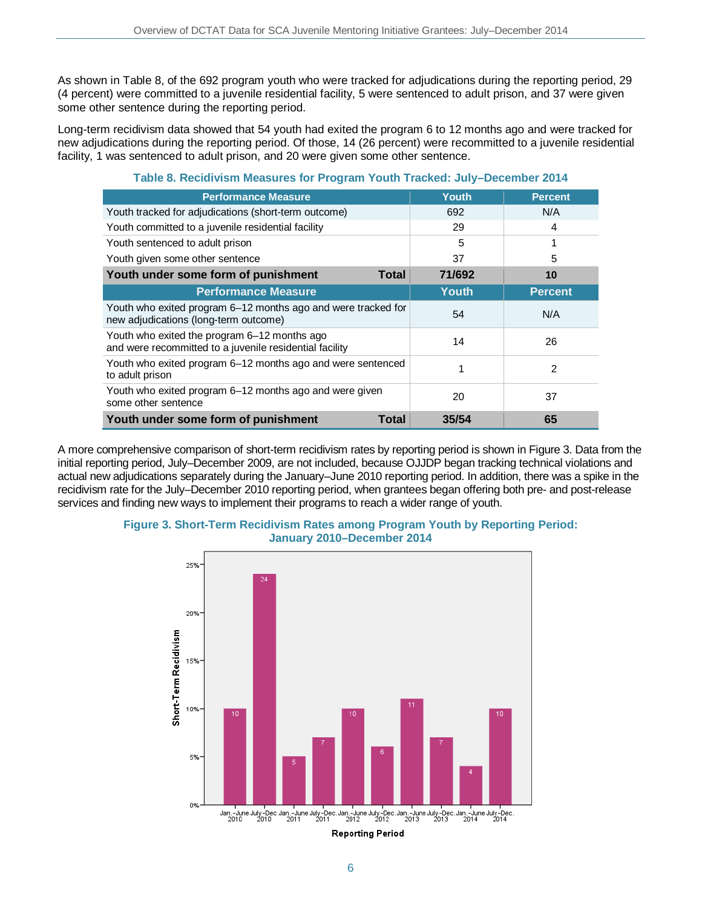As shown in Table 8, of the 692 program youth who were tracked for adjudications during the reporting period, 29 (4 percent) were committed to a juvenile residential facility, 5 were sentenced to adult prison, and 37 were given some other sentence during the reporting period.

Long-term recidivism data showed that 54 youth had exited the program 6 to 12 months ago and were tracked for new adjudications during the reporting period. Of those, 14 (26 percent) were recommitted to a juvenile residential facility, 1 was sentenced to adult prison, and 20 were given some other sentence.

| <b>Performance Measure</b>                                                                              | <b>Youth</b> | <b>Percent</b> |
|---------------------------------------------------------------------------------------------------------|--------------|----------------|
| Youth tracked for adjudications (short-term outcome)                                                    | 692          | N/A            |
| Youth committed to a juvenile residential facility                                                      | 29           | 4              |
| Youth sentenced to adult prison                                                                         | 5            | 1              |
| Youth given some other sentence                                                                         | 37           | 5              |
| Youth under some form of punishment<br><b>Total</b>                                                     | 71/692       | 10             |
| <b>Performance Measure</b>                                                                              | <b>Youth</b> | <b>Percent</b> |
| Youth who exited program 6–12 months ago and were tracked for<br>new adjudications (long-term outcome)  | 54           | N/A            |
| Youth who exited the program 6–12 months ago<br>and were recommitted to a juvenile residential facility | 14           | 26             |
| Youth who exited program 6–12 months ago and were sentenced<br>to adult prison                          |              | 2              |
| Youth who exited program 6-12 months ago and were given<br>some other sentence                          | 20           | 37             |
| Youth under some form of punishment<br>Total                                                            | 35/54        | 65             |

#### **Table 8. Recidivism Measures for Program Youth Tracked: July–December 2014**

A more comprehensive comparison of short-term recidivism rates by reporting period is shown in Figure 3. Data from the initial reporting period, July–December 2009, are not included, because OJJDP began tracking technical violations and actual new adjudications separately during the January–June 2010 reporting period. In addition, there was a spike in the recidivism rate for the July–December 2010 reporting period, when grantees began offering both pre- and post-release services and finding new ways to implement their programs to reach a wider range of youth.



#### **Figure 3. Short-Term Recidivism Rates among Program Youth by Reporting Period: January 2010–December 2014**

<sup>6</sup>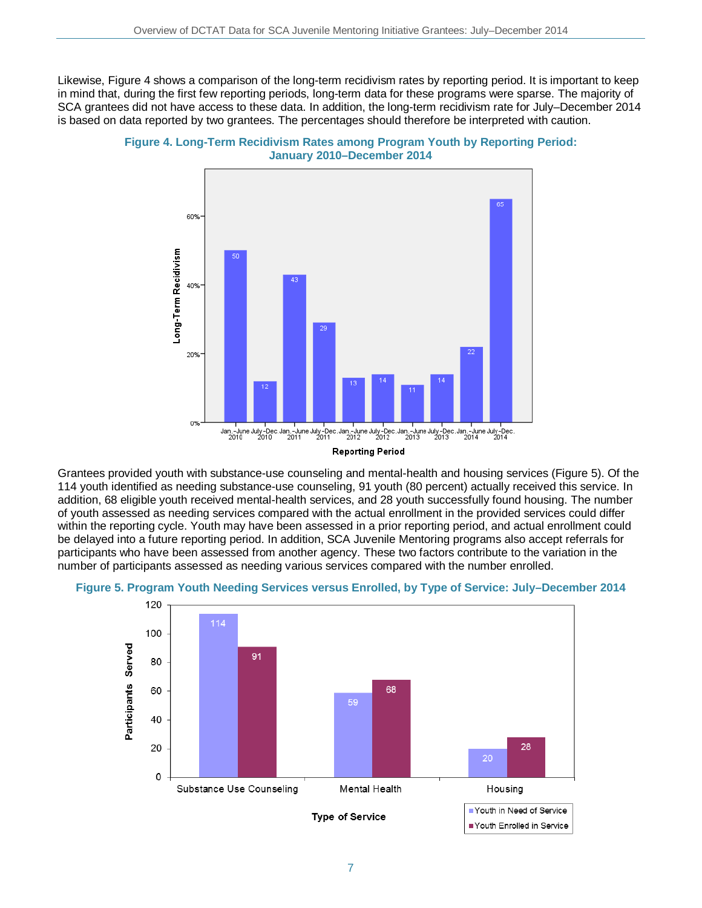Likewise, Figure 4 shows a comparison of the long-term recidivism rates by reporting period. It is important to keep in mind that, during the first few reporting periods, long-term data for these programs were sparse. The majority of SCA grantees did not have access to these data. In addition, the long-term recidivism rate for July–December 2014 is based on data reported by two grantees. The percentages should therefore be interpreted with caution.





Grantees provided youth with substance-use counseling and mental-health and housing services (Figure 5). Of the 114 youth identified as needing substance-use counseling, 91 youth (80 percent) actually received this service. In addition, 68 eligible youth received mental-health services, and 28 youth successfully found housing. The number of youth assessed as needing services compared with the actual enrollment in the provided services could differ within the reporting cycle. Youth may have been assessed in a prior reporting period, and actual enrollment could be delayed into a future reporting period. In addition, SCA Juvenile Mentoring programs also accept referrals for participants who have been assessed from another agency. These two factors contribute to the variation in the number of participants assessed as needing various services compared with the number enrolled.



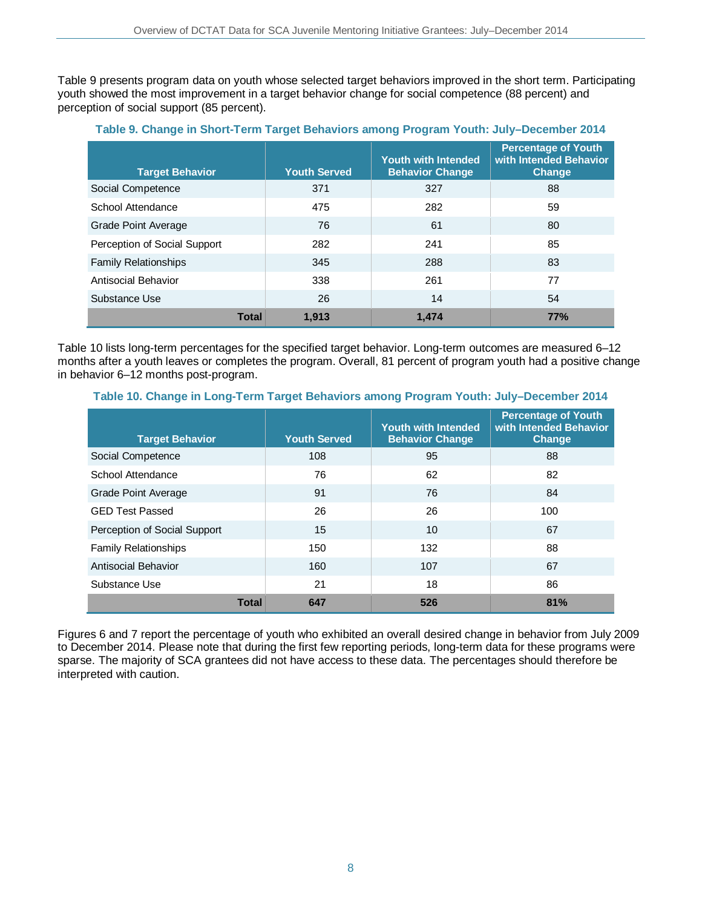Table 9 presents program data on youth whose selected target behaviors improved in the short term. Participating youth showed the most improvement in a target behavior change for social competence (88 percent) and perception of social support (85 percent).

| <b>Target Behavior</b>       |       | <b>Youth Served</b> | <b>Youth with Intended</b><br><b>Behavior Change</b> | <b>Percentage of Youth</b><br>with Intended Behavior<br><b>Change</b> |
|------------------------------|-------|---------------------|------------------------------------------------------|-----------------------------------------------------------------------|
| Social Competence            |       | 371                 | 327                                                  | 88                                                                    |
| School Attendance            |       | 475                 | 282                                                  | 59                                                                    |
| Grade Point Average          |       | 76                  | 61                                                   | 80                                                                    |
| Perception of Social Support |       | 282                 | 241                                                  | 85                                                                    |
| <b>Family Relationships</b>  |       | 345                 | 288                                                  | 83                                                                    |
| Antisocial Behavior          |       | 338                 | 261                                                  | 77                                                                    |
| Substance Use                |       | 26                  | 14                                                   | 54                                                                    |
|                              | Total | 1.913               | 1.474                                                | 77%                                                                   |

#### **Table 9. Change in Short-Term Target Behaviors among Program Youth: July–December 2014**

Table 10 lists long-term percentages for the specified target behavior. Long-term outcomes are measured 6–12 months after a youth leaves or completes the program. Overall, 81 percent of program youth had a positive change in behavior 6–12 months post-program.

#### **Table 10. Change in Long-Term Target Behaviors among Program Youth: July–December 2014**

| <b>Target Behavior</b>       | <b>Youth Served</b> | <b>Youth with Intended</b><br><b>Behavior Change</b> | <b>Percentage of Youth</b><br>with Intended Behavior<br><b>Change</b> |
|------------------------------|---------------------|------------------------------------------------------|-----------------------------------------------------------------------|
| Social Competence            | 108                 | 95                                                   | 88                                                                    |
| School Attendance            | 76                  | 62                                                   | 82                                                                    |
| Grade Point Average          | 91                  | 76                                                   | 84                                                                    |
| <b>GED Test Passed</b>       | 26                  | 26                                                   | 100                                                                   |
| Perception of Social Support | 15                  | 10                                                   | 67                                                                    |
| <b>Family Relationships</b>  | 150                 | 132                                                  | 88                                                                    |
| Antisocial Behavior          | 160                 | 107                                                  | 67                                                                    |
| Substance Use                | 21                  | 18                                                   | 86                                                                    |
| <b>Total</b>                 | 647                 | 526                                                  | 81%                                                                   |

Figures 6 and 7 report the percentage of youth who exhibited an overall desired change in behavior from July 2009 to December 2014. Please note that during the first few reporting periods, long-term data for these programs were sparse. The majority of SCA grantees did not have access to these data. The percentages should therefore be interpreted with caution.